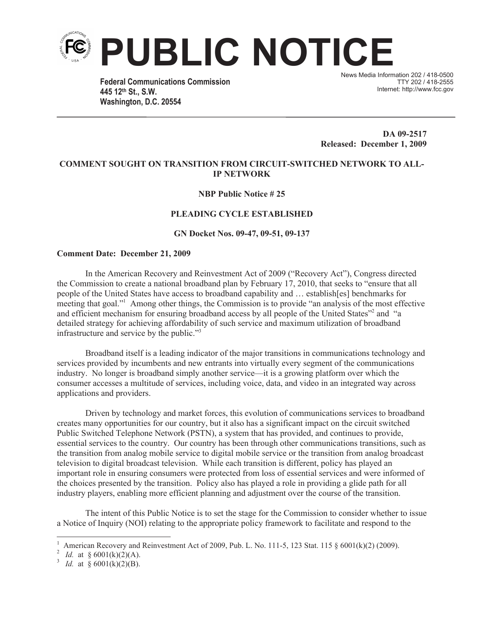

**Federal Communications Commission 445 12th St., S.W. Washington, D.C. 20554**

News Media Information 202 / 418-0500 TTY 202 / 418-2555 Internet: http://www.fcc.gov

**DA 09-2517 Released: December 1, 2009**

# **COMMENT SOUGHT ON TRANSITION FROM CIRCUIT-SWITCHED NETWORK TO ALL-IP NETWORK**

# **NBP Public Notice # 25**

# **PLEADING CYCLE ESTABLISHED**

#### **GN Docket Nos. 09-47, 09-51, 09-137**

### **Comment Date: December 21, 2009**

In the American Recovery and Reinvestment Act of 2009 ("Recovery Act"), Congress directed the Commission to create a national broadband plan by February 17, 2010, that seeks to "ensure that all people of the United States have access to broadband capability and … establish[es] benchmarks for meeting that goal."<sup>1</sup> Among other things, the Commission is to provide "an analysis of the most effective and efficient mechanism for ensuring broadband access by all people of the United States"<sup>2</sup> and "a detailed strategy for achieving affordability of such service and maximum utilization of broadband infrastructure and service by the public."<sup>3</sup>

Broadband itself is a leading indicator of the major transitions in communications technology and services provided by incumbents and new entrants into virtually every segment of the communications industry. No longer is broadband simply another service—it is a growing platform over which the consumer accesses a multitude of services, including voice, data, and video in an integrated way across applications and providers.

Driven by technology and market forces, this evolution of communications services to broadband creates many opportunities for our country, but it also has a significant impact on the circuit switched Public Switched Telephone Network (PSTN), a system that has provided, and continues to provide, essential services to the country. Our country has been through other communications transitions, such as the transition from analog mobile service to digital mobile service or the transition from analog broadcast television to digital broadcast television. While each transition is different, policy has played an important role in ensuring consumers were protected from loss of essential services and were informed of the choices presented by the transition. Policy also has played a role in providing a glide path for all industry players, enabling more efficient planning and adjustment over the course of the transition.

The intent of this Public Notice is to set the stage for the Commission to consider whether to issue a Notice of Inquiry (NOI) relating to the appropriate policy framework to facilitate and respond to the

American Recovery and Reinvestment Act of 2009, Pub. L. No. 111-5, 123 Stat. 115 § 6001(k)(2) (2009).

<sup>&</sup>lt;sup>2</sup> *Id.* at § 6001(k)(2)(A).

<sup>&</sup>lt;sup>3</sup> *Id.* at § 6001(k)(2)(B).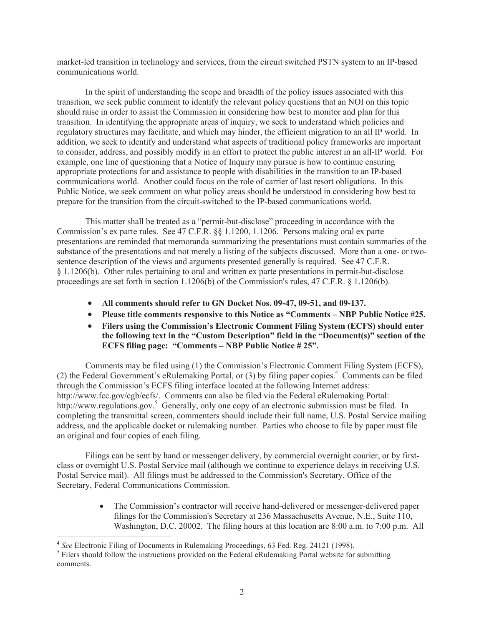market-led transition in technology and services, from the circuit switched PSTN system to an IP-based communications world.

In the spirit of understanding the scope and breadth of the policy issues associated with this transition, we seek public comment to identify the relevant policy questions that an NOI on this topic should raise in order to assist the Commission in considering how best to monitor and plan for this transition. In identifying the appropriate areas of inquiry, we seek to understand which policies and regulatory structures may facilitate, and which may hinder, the efficient migration to an all IP world. In addition, we seek to identify and understand what aspects of traditional policy frameworks are important to consider, address, and possibly modify in an effort to protect the public interest in an all-IP world. For example, one line of questioning that a Notice of Inquiry may pursue is how to continue ensuring appropriate protections for and assistance to people with disabilities in the transition to an IP-based communications world. Another could focus on the role of carrier of last resort obligations. In this Public Notice, we seek comment on what policy areas should be understood in considering how best to prepare for the transition from the circuit-switched to the IP-based communications world.

This matter shall be treated as a "permit-but-disclose" proceeding in accordance with the Commission's ex parte rules. See 47 C.F.R. §§ 1.1200, 1.1206. Persons making oral ex parte presentations are reminded that memoranda summarizing the presentations must contain summaries of the substance of the presentations and not merely a listing of the subjects discussed. More than a one- or twosentence description of the views and arguments presented generally is required. See 47 C.F.R. § 1.1206(b). Other rules pertaining to oral and written ex parte presentations in permit-but-disclose proceedings are set forth in section 1.1206(b) of the Commission's rules, 47 C.F.R. § 1.1206(b).

- · **All comments should refer to GN Docket Nos. 09-47, 09-51, and 09-137.**
- · **Please title comments responsive to this Notice as "Comments – NBP Public Notice #25.**
- · **Filers using the Commission's Electronic Comment Filing System (ECFS) should enter the following text in the "Custom Description" field in the "Document(s)" section of the ECFS filing page: "Comments – NBP Public Notice # 25".**

Comments may be filed using (1) the Commission's Electronic Comment Filing System (ECFS), (2) the Federal Government's eRulemaking Portal, or  $(3)$  by filing paper copies.<sup>4</sup> Comments can be filed through the Commission's ECFS filing interface located at the following Internet address: http://www.fcc.gov/cgb/ecfs/. Comments can also be filed via the Federal eRulemaking Portal: http://www.regulations.gov.<sup>5</sup> Generally, only one copy of an electronic submission must be filed. In completing the transmittal screen, commenters should include their full name, U.S. Postal Service mailing address, and the applicable docket or rulemaking number. Parties who choose to file by paper must file an original and four copies of each filing.

Filings can be sent by hand or messenger delivery, by commercial overnight courier, or by firstclass or overnight U.S. Postal Service mail (although we continue to experience delays in receiving U.S. Postal Service mail). All filings must be addressed to the Commission's Secretary, Office of the Secretary, Federal Communications Commission.

> • The Commission's contractor will receive hand-delivered or messenger-delivered paper filings for the Commission's Secretary at 236 Massachusetts Avenue, N.E., Suite 110, Washington, D.C. 20002. The filing hours at this location are 8:00 a.m. to 7:00 p.m. All

<sup>4</sup> *See* Electronic Filing of Documents in Rulemaking Proceedings, 63 Fed. Reg. 24121 (1998).

<sup>&</sup>lt;sup>5</sup> Filers should follow the instructions provided on the Federal eRulemaking Portal website for submitting comments.